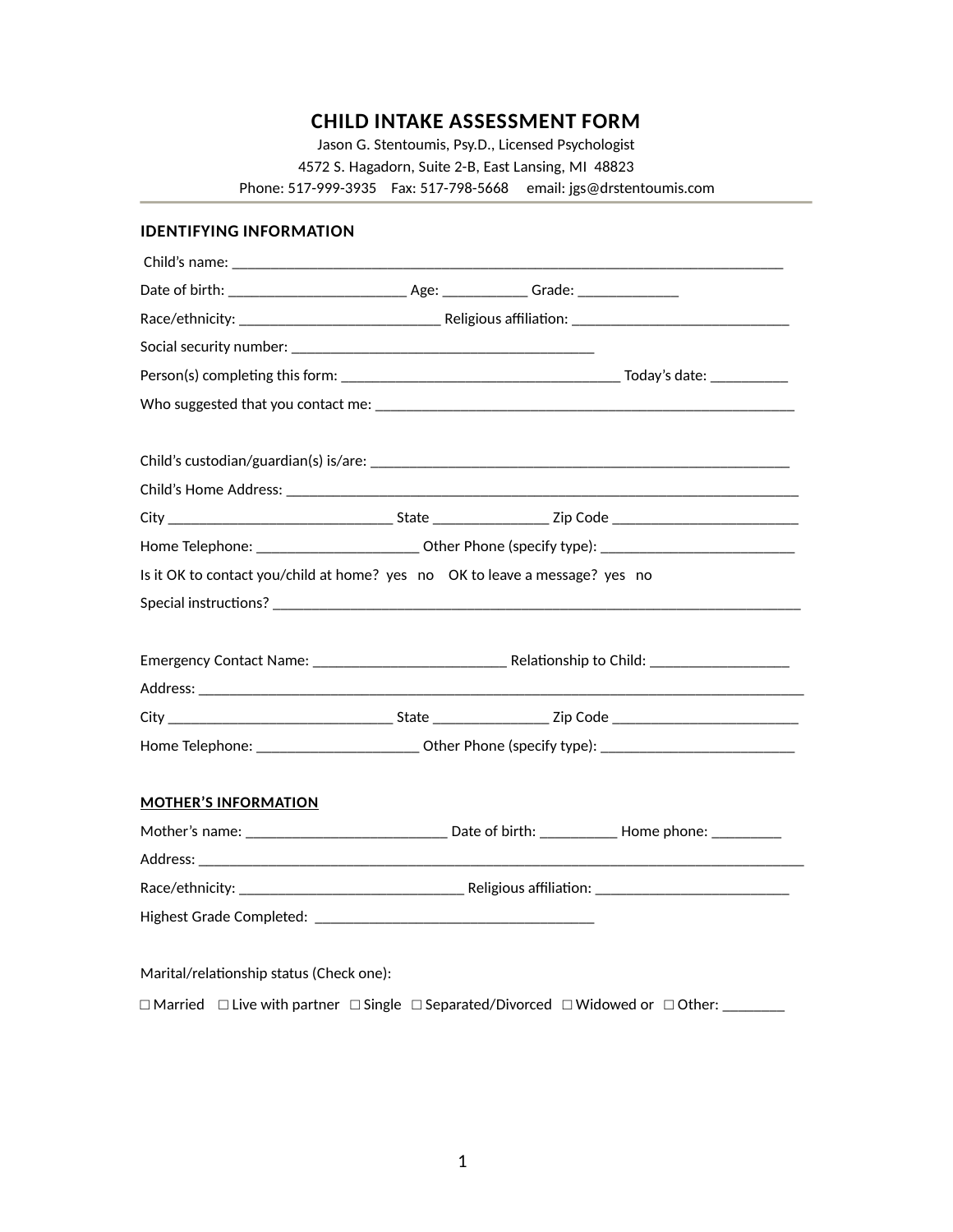# **CHILD INTAKE ASSESSMENT FORM**

Jason G. Stentoumis, Psy.D., Licensed Psychologist 4572 S. Hagadorn, Suite 2-B, East Lansing, MI 48823 Phone: 517-999-3935 Fax: 517-798-5668 email: jgs@drstentoumis.com

| <b>IDENTIFYING INFORMATION</b>                                                                                      |  |  |
|---------------------------------------------------------------------------------------------------------------------|--|--|
|                                                                                                                     |  |  |
|                                                                                                                     |  |  |
|                                                                                                                     |  |  |
|                                                                                                                     |  |  |
|                                                                                                                     |  |  |
|                                                                                                                     |  |  |
|                                                                                                                     |  |  |
|                                                                                                                     |  |  |
|                                                                                                                     |  |  |
| Home Telephone: ___________________________Other Phone (specify type): _____________________________                |  |  |
| Is it OK to contact you/child at home? $\sqrt{y}$ es $\sqrt{y}$ o OK to leave a message? $\sqrt{y}$ es $\sqrt{y}$ o |  |  |
|                                                                                                                     |  |  |
|                                                                                                                     |  |  |
|                                                                                                                     |  |  |
|                                                                                                                     |  |  |
|                                                                                                                     |  |  |
| Home Telephone: ___________________________Other Phone (specify type): _____________________________                |  |  |
|                                                                                                                     |  |  |
| <b>MOTHER'S INFORMATION</b>                                                                                         |  |  |
|                                                                                                                     |  |  |
|                                                                                                                     |  |  |
|                                                                                                                     |  |  |
|                                                                                                                     |  |  |
|                                                                                                                     |  |  |
| Marital/relationship status (Check one):                                                                            |  |  |

□ Married □ Live with partner □ Single □ Separated/Divorced □ Widowed or □ Other: \_\_\_\_\_\_\_\_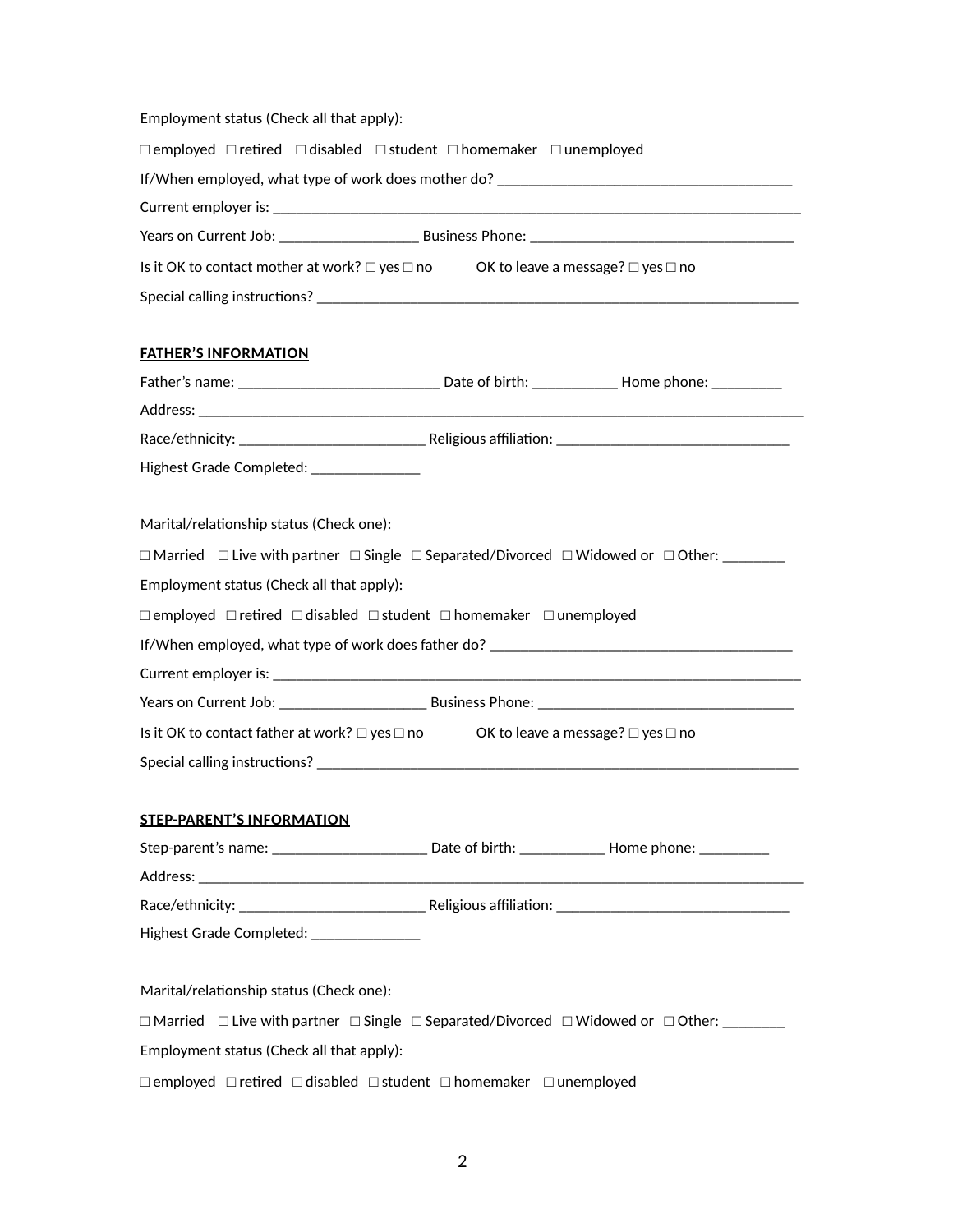| Employment status (Check all that apply):                                                                        |                                                                                                                                                                                                                                |
|------------------------------------------------------------------------------------------------------------------|--------------------------------------------------------------------------------------------------------------------------------------------------------------------------------------------------------------------------------|
| $\Box$ employed $\Box$ retired $\Box$ disabled $\Box$ student $\Box$ homemaker $\Box$ unemployed                 |                                                                                                                                                                                                                                |
|                                                                                                                  |                                                                                                                                                                                                                                |
|                                                                                                                  |                                                                                                                                                                                                                                |
|                                                                                                                  |                                                                                                                                                                                                                                |
| Is it OK to contact mother at work? $\square$ yes $\square$ no OK to leave a message? $\square$ yes $\square$ no |                                                                                                                                                                                                                                |
|                                                                                                                  |                                                                                                                                                                                                                                |
| <b>FATHER'S INFORMATION</b>                                                                                      |                                                                                                                                                                                                                                |
|                                                                                                                  |                                                                                                                                                                                                                                |
|                                                                                                                  |                                                                                                                                                                                                                                |
|                                                                                                                  |                                                                                                                                                                                                                                |
| Highest Grade Completed: ______________                                                                          |                                                                                                                                                                                                                                |
| Marital/relationship status (Check one):                                                                         |                                                                                                                                                                                                                                |
|                                                                                                                  | $\Box$ Married $\Box$ Live with partner $\Box$ Single $\Box$ Separated/Divorced $\Box$ Widowed or $\Box$ Other: ________                                                                                                       |
| Employment status (Check all that apply):                                                                        |                                                                                                                                                                                                                                |
| □ employed □ retired □ disabled □ student □ homemaker □ unemployed                                               |                                                                                                                                                                                                                                |
|                                                                                                                  |                                                                                                                                                                                                                                |
|                                                                                                                  |                                                                                                                                                                                                                                |
|                                                                                                                  |                                                                                                                                                                                                                                |
| Is it OK to contact father at work? □ yes □ no OK to leave a message? □ yes □ no                                 |                                                                                                                                                                                                                                |
|                                                                                                                  | Special calling instructions? Services and the service of the service of the service of the service of the service of the service of the service of the service of the service of the service of the service of the service of |
| <b>STEP-PARENT'S INFORMATION</b>                                                                                 |                                                                                                                                                                                                                                |
|                                                                                                                  |                                                                                                                                                                                                                                |
|                                                                                                                  |                                                                                                                                                                                                                                |
|                                                                                                                  |                                                                                                                                                                                                                                |
| Highest Grade Completed: National Assembly                                                                       |                                                                                                                                                                                                                                |
| Marital/relationship status (Check one):                                                                         |                                                                                                                                                                                                                                |
|                                                                                                                  | $\Box$ Married $\Box$ Live with partner $\Box$ Single $\Box$ Separated/Divorced $\Box$ Widowed or $\Box$ Other: ________                                                                                                       |
| Employment status (Check all that apply):                                                                        |                                                                                                                                                                                                                                |
| $\Box$ employed $\Box$ retired $\Box$ disabled $\Box$ student $\Box$ homemaker $\Box$ unemployed                 |                                                                                                                                                                                                                                |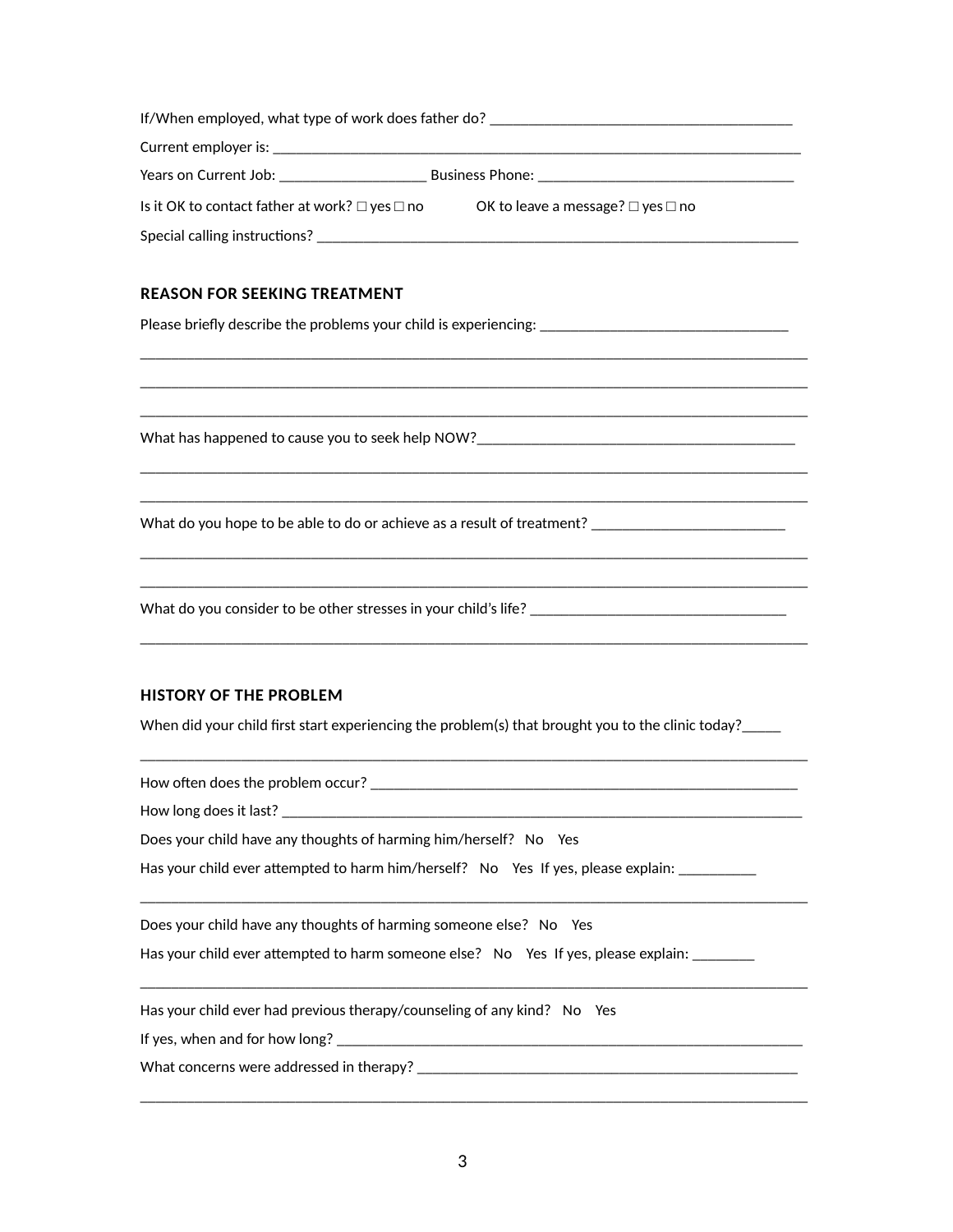| If/When employed, what type of work does father do?      |                                             |
|----------------------------------------------------------|---------------------------------------------|
|                                                          |                                             |
| Years on Current Job: Nears on New York 1996             | <b>Business Phone: Example 2014</b>         |
| Is it OK to contact father at work? $\Box$ yes $\Box$ no | OK to leave a message? $\Box$ yes $\Box$ no |
| Special calling instructions?                            |                                             |

\_\_\_\_\_\_\_\_\_\_\_\_\_\_\_\_\_\_\_\_\_\_\_\_\_\_\_\_\_\_\_\_\_\_\_\_\_\_\_\_\_\_\_\_\_\_\_\_\_\_\_\_\_\_\_\_\_\_\_\_\_\_\_\_\_\_\_\_\_\_\_\_\_\_\_\_\_\_\_\_\_\_\_\_\_\_ \_\_\_\_\_\_\_\_\_\_\_\_\_\_\_\_\_\_\_\_\_\_\_\_\_\_\_\_\_\_\_\_\_\_\_\_\_\_\_\_\_\_\_\_\_\_\_\_\_\_\_\_\_\_\_\_\_\_\_\_\_\_\_\_\_\_\_\_\_\_\_\_\_\_\_\_\_\_\_\_\_\_\_\_\_\_ \_\_\_\_\_\_\_\_\_\_\_\_\_\_\_\_\_\_\_\_\_\_\_\_\_\_\_\_\_\_\_\_\_\_\_\_\_\_\_\_\_\_\_\_\_\_\_\_\_\_\_\_\_\_\_\_\_\_\_\_\_\_\_\_\_\_\_\_\_\_\_\_\_\_\_\_\_\_\_\_\_\_\_\_\_\_

\_\_\_\_\_\_\_\_\_\_\_\_\_\_\_\_\_\_\_\_\_\_\_\_\_\_\_\_\_\_\_\_\_\_\_\_\_\_\_\_\_\_\_\_\_\_\_\_\_\_\_\_\_\_\_\_\_\_\_\_\_\_\_\_\_\_\_\_\_\_\_\_\_\_\_\_\_\_\_\_\_\_\_\_\_\_ \_\_\_\_\_\_\_\_\_\_\_\_\_\_\_\_\_\_\_\_\_\_\_\_\_\_\_\_\_\_\_\_\_\_\_\_\_\_\_\_\_\_\_\_\_\_\_\_\_\_\_\_\_\_\_\_\_\_\_\_\_\_\_\_\_\_\_\_\_\_\_\_\_\_\_\_\_\_\_\_\_\_\_\_\_\_

\_\_\_\_\_\_\_\_\_\_\_\_\_\_\_\_\_\_\_\_\_\_\_\_\_\_\_\_\_\_\_\_\_\_\_\_\_\_\_\_\_\_\_\_\_\_\_\_\_\_\_\_\_\_\_\_\_\_\_\_\_\_\_\_\_\_\_\_\_\_\_\_\_\_\_\_\_\_\_\_\_\_\_\_\_\_ \_\_\_\_\_\_\_\_\_\_\_\_\_\_\_\_\_\_\_\_\_\_\_\_\_\_\_\_\_\_\_\_\_\_\_\_\_\_\_\_\_\_\_\_\_\_\_\_\_\_\_\_\_\_\_\_\_\_\_\_\_\_\_\_\_\_\_\_\_\_\_\_\_\_\_\_\_\_\_\_\_\_\_\_\_\_

\_\_\_\_\_\_\_\_\_\_\_\_\_\_\_\_\_\_\_\_\_\_\_\_\_\_\_\_\_\_\_\_\_\_\_\_\_\_\_\_\_\_\_\_\_\_\_\_\_\_\_\_\_\_\_\_\_\_\_\_\_\_\_\_\_\_\_\_\_\_\_\_\_\_\_\_\_\_\_\_\_\_\_\_\_\_

### **REASON FOR SEEKING TREATMENT**

Please briefly describe the problems your child is experiencing: \_\_\_\_\_\_\_\_\_\_\_\_\_\_\_

What has happened to cause you to seek help NOW?

What do you hope to be able to do or achieve as a result of treatment? \_\_\_\_\_\_\_\_\_

What do you consider to be other stresses in your child's life? \_\_\_\_\_\_\_\_\_\_\_\_\_\_\_\_

#### **HISTORY OF THE PROBLEM**

When did your child first start experiencing the problem(s) that brought you to the clinic today?\_\_\_\_\_\_

\_\_\_\_\_\_\_\_\_\_\_\_\_\_\_\_\_\_\_\_\_\_\_\_\_\_\_\_\_\_\_\_\_\_\_\_\_\_\_\_\_\_\_\_\_\_\_\_\_\_\_\_\_\_\_\_\_\_\_\_\_\_\_\_\_\_\_\_\_\_\_\_\_\_\_\_\_\_\_\_\_\_\_\_\_\_

\_\_\_\_\_\_\_\_\_\_\_\_\_\_\_\_\_\_\_\_\_\_\_\_\_\_\_\_\_\_\_\_\_\_\_\_\_\_\_\_\_\_\_\_\_\_\_\_\_\_\_\_\_\_\_\_\_\_\_\_\_\_\_\_\_\_\_\_\_\_\_\_\_\_\_\_\_\_\_\_\_\_\_\_\_\_

\_\_\_\_\_\_\_\_\_\_\_\_\_\_\_\_\_\_\_\_\_\_\_\_\_\_\_\_\_\_\_\_\_\_\_\_\_\_\_\_\_\_\_\_\_\_\_\_\_\_\_\_\_\_\_\_\_\_\_\_\_\_\_\_\_\_\_\_\_\_\_\_\_\_\_\_\_\_\_\_\_\_\_\_\_\_

\_\_\_\_\_\_\_\_\_\_\_\_\_\_\_\_\_\_\_\_\_\_\_\_\_\_\_\_\_\_\_\_\_\_\_\_\_\_\_\_\_\_\_\_\_\_\_\_\_\_\_\_\_\_\_\_\_\_\_\_\_\_\_\_\_\_\_\_\_\_\_\_\_\_\_\_\_\_\_\_\_\_\_\_\_\_

How often does the problem occur? \_\_\_\_\_\_\_\_\_\_\_\_\_\_\_\_\_\_\_\_\_\_\_\_\_\_\_\_\_\_\_\_\_\_\_\_\_\_\_\_\_\_\_\_\_\_\_\_\_\_\_\_\_\_\_

How long does it last? \_\_\_\_\_\_\_\_\_\_\_\_\_\_\_\_\_\_\_\_\_\_\_\_\_\_\_\_\_\_\_\_\_\_\_\_\_\_\_\_\_\_\_\_\_\_\_\_\_\_\_\_\_\_\_\_\_\_\_\_\_\_\_\_\_\_\_

Does your child have any thoughts of harming him/herself? Mo Yes

Has your child ever attempted to harm him/herself? [No [Yes If yes, please explain: \_\_\_\_\_\_\_\_\_\_\_\_\_\_\_

Does your child have any thoughts of harming someone else? Mo Yes

Has your child ever attempted to harm someone else? [No [Yes If yes, please explain: \_\_\_\_\_\_\_\_

Has your child ever had previous therapy/counseling of any kind?  $N$   $\gamma$ es

If yes, when and for how long?

What concerns were addressed in therapy? \_\_\_\_\_\_\_\_\_\_\_\_\_\_\_\_\_\_\_\_\_\_\_\_\_\_\_\_\_\_\_\_\_\_\_\_\_\_\_\_\_\_\_\_\_\_\_\_\_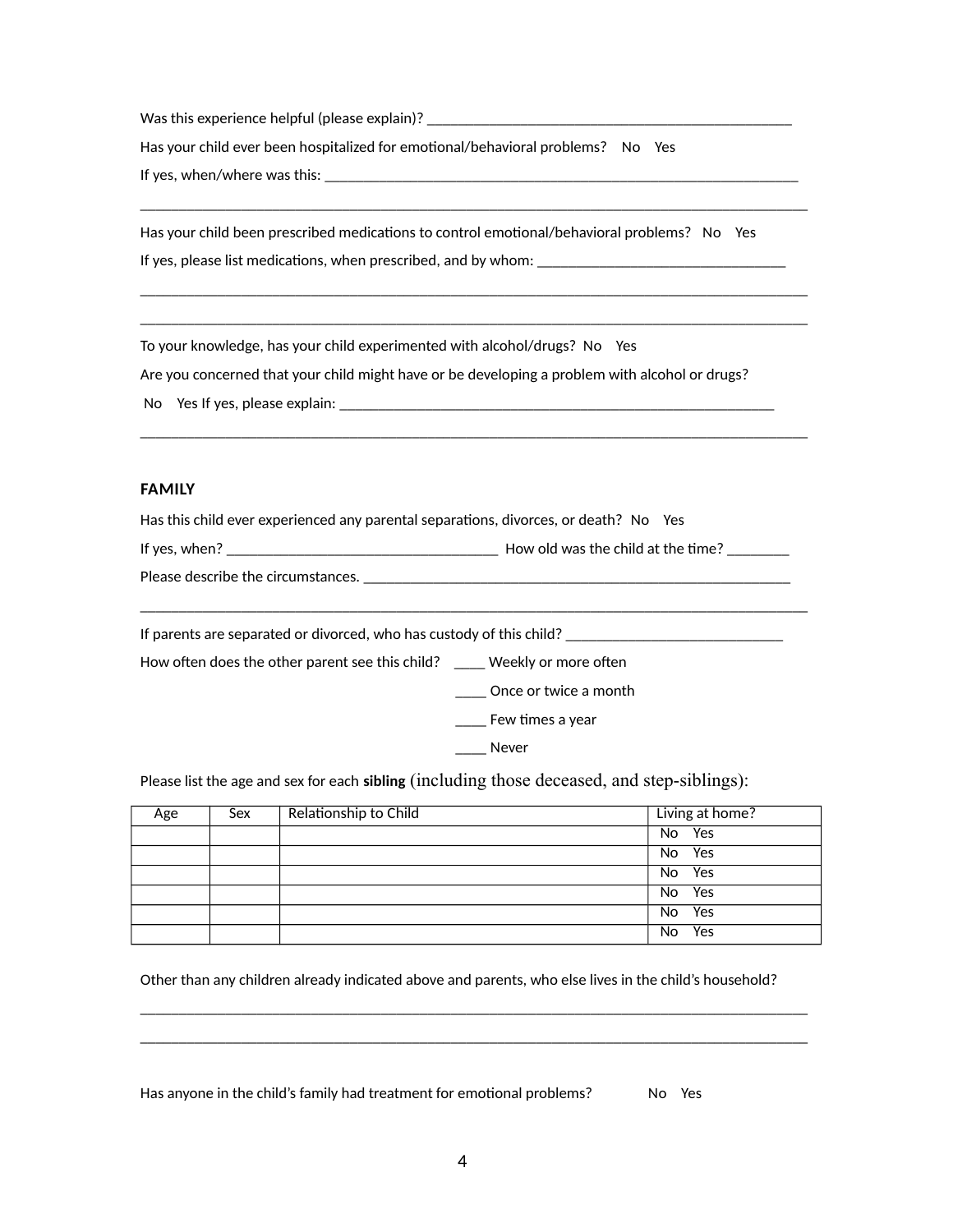Was this experience helpful (please explain)? \_\_\_\_\_\_\_\_\_\_\_\_\_\_\_\_\_\_\_\_\_\_\_\_\_\_\_\_\_\_\_\_\_\_

Has your child ever been hospitalized for emotional/behavioral problems? Mo Yes

If yes, when/where was this:

Has your child been prescribed medications to control emotional/behavioral problems? Mo Yes If yes, please list medications, when prescribed, and by whom: \_\_\_\_\_\_\_\_\_\_\_\_\_\_\_\_\_\_

\_\_\_\_\_\_\_\_\_\_\_\_\_\_\_\_\_\_\_\_\_\_\_\_\_\_\_\_\_\_\_\_\_\_\_\_\_\_\_\_\_\_\_\_\_\_\_\_\_\_\_\_\_\_\_\_\_\_\_\_\_\_\_\_\_\_\_\_\_\_\_\_\_\_\_\_\_\_\_\_\_\_\_\_\_\_

\_\_\_\_\_\_\_\_\_\_\_\_\_\_\_\_\_\_\_\_\_\_\_\_\_\_\_\_\_\_\_\_\_\_\_\_\_\_\_\_\_\_\_\_\_\_\_\_\_\_\_\_\_\_\_\_\_\_\_\_\_\_\_\_\_\_\_\_\_\_\_\_\_\_\_\_\_\_\_\_\_\_\_\_\_\_ \_\_\_\_\_\_\_\_\_\_\_\_\_\_\_\_\_\_\_\_\_\_\_\_\_\_\_\_\_\_\_\_\_\_\_\_\_\_\_\_\_\_\_\_\_\_\_\_\_\_\_\_\_\_\_\_\_\_\_\_\_\_\_\_\_\_\_\_\_\_\_\_\_\_\_\_\_\_\_\_\_\_\_\_\_\_

\_\_\_\_\_\_\_\_\_\_\_\_\_\_\_\_\_\_\_\_\_\_\_\_\_\_\_\_\_\_\_\_\_\_\_\_\_\_\_\_\_\_\_\_\_\_\_\_\_\_\_\_\_\_\_\_\_\_\_\_\_\_\_\_\_\_\_\_\_\_\_\_\_\_\_\_\_\_\_\_\_\_\_\_\_\_

To your knowledge, has your child experimented with alcohol/drugs? Mo Yes

Are you concerned that your child might have or be developing a problem with alcohol or drugs?

| Mo Yes If yes, please explain: |  |
|--------------------------------|--|
|                                |  |

### **FAMILY**

| Has this child ever experienced any parental separations, divorces, or death? [ $\blacklozenge$ ]Yes |  |  |  |
|------------------------------------------------------------------------------------------------------|--|--|--|
|------------------------------------------------------------------------------------------------------|--|--|--|

| If yes, when? | How old was the child at the time? |  |
|---------------|------------------------------------|--|
|---------------|------------------------------------|--|

| Please describe the circumstances. |  |
|------------------------------------|--|
|------------------------------------|--|

\_\_\_\_\_\_\_\_\_\_\_\_\_\_\_\_\_\_\_\_\_\_\_\_\_\_\_\_\_\_\_\_\_\_\_\_\_\_\_\_\_\_\_\_\_\_\_\_\_\_\_\_\_\_\_\_\_\_\_\_\_\_\_\_\_\_\_\_\_\_\_\_\_\_\_\_\_\_\_\_\_\_\_\_\_\_

If parents are separated or divorced, who has custody of this child? \_\_\_\_\_\_\_\_\_\_\_\_

How often does the other parent see this child? \_\_\_\_ Weekly or more often

\_\_\_\_ Once or twice a month

\_\_\_\_ Few times a year

Never

Please list the age and sex for each **sibling** (including those deceased, and step-siblings):

| Age | Sex | Relationship to Child | Living at home? |
|-----|-----|-----------------------|-----------------|
|     |     |                       | No Yes          |
|     |     |                       | No Yes          |
|     |     |                       | No Yes          |
|     |     |                       | No Yes          |
|     |     |                       | No Yes          |
|     |     |                       | $T$ es<br>[No   |

Other than any children already indicated above and parents, who else lives in the child's household?

\_\_\_\_\_\_\_\_\_\_\_\_\_\_\_\_\_\_\_\_\_\_\_\_\_\_\_\_\_\_\_\_\_\_\_\_\_\_\_\_\_\_\_\_\_\_\_\_\_\_\_\_\_\_\_\_\_\_\_\_\_\_\_\_\_\_\_\_\_\_\_\_\_\_\_\_\_\_\_\_\_\_\_\_\_\_ \_\_\_\_\_\_\_\_\_\_\_\_\_\_\_\_\_\_\_\_\_\_\_\_\_\_\_\_\_\_\_\_\_\_\_\_\_\_\_\_\_\_\_\_\_\_\_\_\_\_\_\_\_\_\_\_\_\_\_\_\_\_\_\_\_\_\_\_\_\_\_\_\_\_\_\_\_\_\_\_\_\_\_\_\_\_

Has anyone in the child's family had treatment for emotional problems?  $\blacksquare$  No  $\mathbb {Y}$ es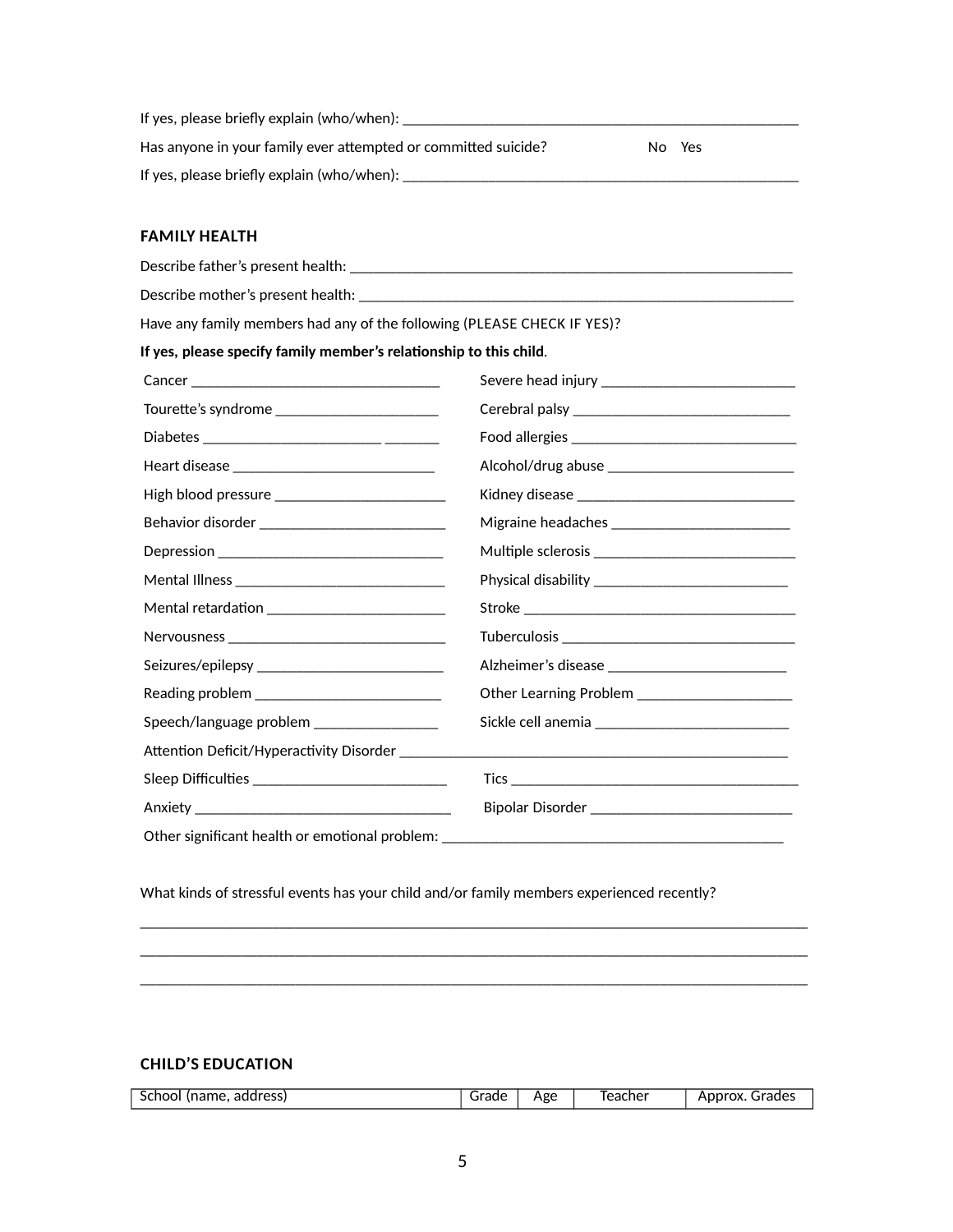| If yes, please briefly explain (who/when):                     |         |
|----------------------------------------------------------------|---------|
| Has anyone in your family ever attempted or committed suicide? | Mo MYes |
| If yes, please briefly explain (who/when):                     |         |

### **FAMILY HEALTH**

| Have any family members had any of the following (PLEASE CHECK IF YES)? |                                                                                   |
|-------------------------------------------------------------------------|-----------------------------------------------------------------------------------|
| If yes, please specify family member's relationship to this child.      |                                                                                   |
|                                                                         |                                                                                   |
|                                                                         |                                                                                   |
|                                                                         |                                                                                   |
|                                                                         |                                                                                   |
|                                                                         |                                                                                   |
|                                                                         |                                                                                   |
|                                                                         |                                                                                   |
|                                                                         |                                                                                   |
| Mental retardation __________________________                           |                                                                                   |
|                                                                         |                                                                                   |
|                                                                         |                                                                                   |
|                                                                         | <b>The Learning Problem</b> _____________________                                 |
| [\$peech/language problem ___________________                           |                                                                                   |
| <b>Attention Deficit/Hyperactivity Disorder</b>                         |                                                                                   |
| [\$leep Difficulties __________________________________                 |                                                                                   |
|                                                                         |                                                                                   |
|                                                                         | [@ther significant health or emotional problem: _________________________________ |

What kinds of stressful events has your child and/or family members experienced recently?

# **CHILD'S EDUCATION**

|  | -<br>address)<br>.<br>$\sim$ $\sim$ $\sim$ $\sim$<br>school<br>uidilie | Age | eacher | $\sim$<br>$\sim$ $\sim$ $\sim$ $\sim$ $\sim$<br>ADDrOX.<br>Graues |
|--|------------------------------------------------------------------------|-----|--------|-------------------------------------------------------------------|
|--|------------------------------------------------------------------------|-----|--------|-------------------------------------------------------------------|

\_\_\_\_\_\_\_\_\_\_\_\_\_\_\_\_\_\_\_\_\_\_\_\_\_\_\_\_\_\_\_\_\_\_\_\_\_\_\_\_\_\_\_\_\_\_\_\_\_\_\_\_\_\_\_\_\_\_\_\_\_\_\_\_\_\_\_\_\_\_\_\_\_\_\_\_\_\_\_\_\_\_\_\_\_\_ \_\_\_\_\_\_\_\_\_\_\_\_\_\_\_\_\_\_\_\_\_\_\_\_\_\_\_\_\_\_\_\_\_\_\_\_\_\_\_\_\_\_\_\_\_\_\_\_\_\_\_\_\_\_\_\_\_\_\_\_\_\_\_\_\_\_\_\_\_\_\_\_\_\_\_\_\_\_\_\_\_\_\_\_\_\_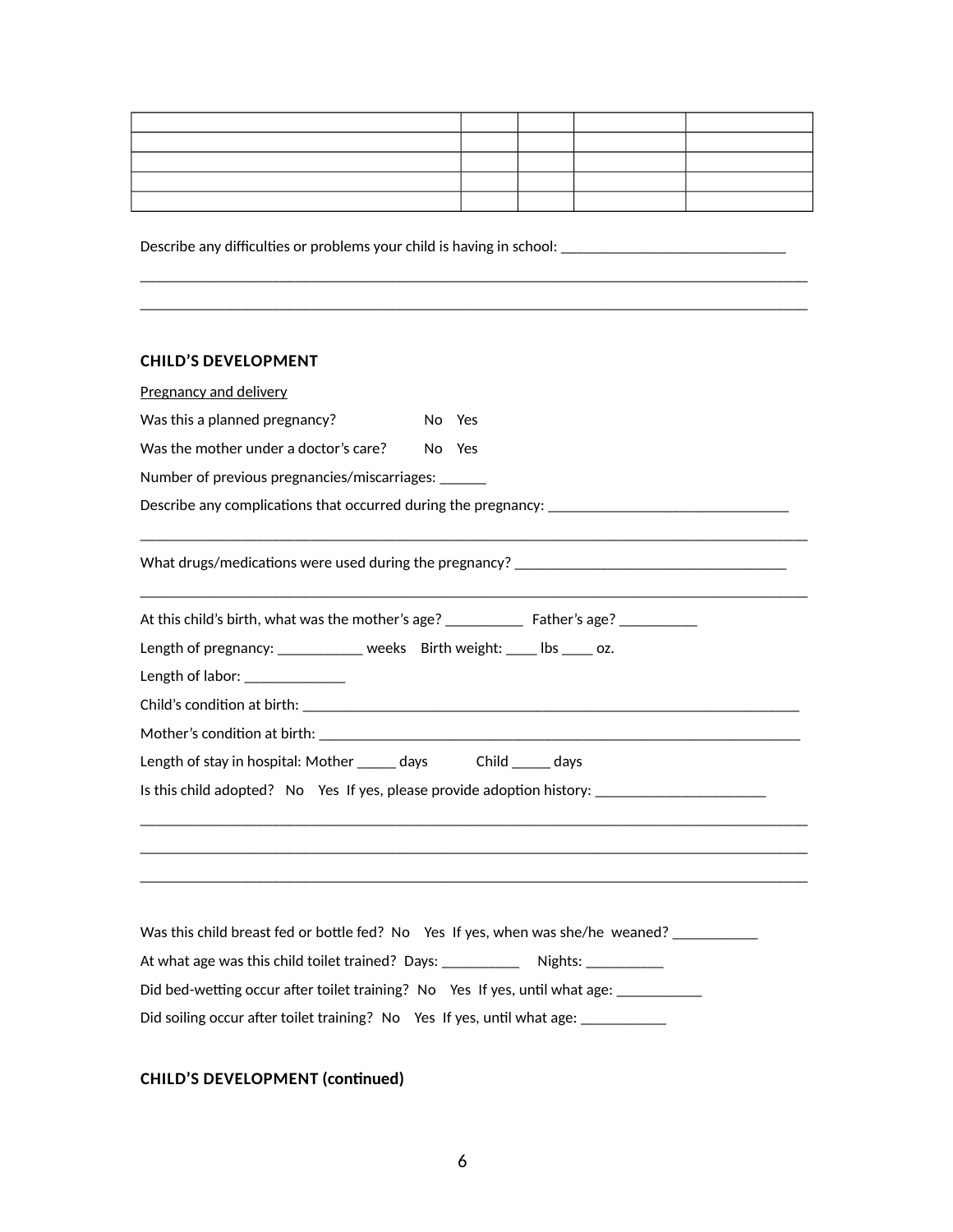\_\_\_\_\_\_\_\_\_\_\_\_\_\_\_\_\_\_\_\_\_\_\_\_\_\_\_\_\_\_\_\_\_\_\_\_\_\_\_\_\_\_\_\_\_\_\_\_\_\_\_\_\_\_\_\_\_\_\_\_\_\_\_\_\_\_\_\_\_\_\_\_\_\_\_\_\_\_\_\_\_\_\_\_\_\_

Describe any difficulties or problems your child is having in school: \_\_\_\_\_\_\_\_\_\_\_\_\_\_\_\_\_\_\_\_\_\_\_\_\_\_\_\_\_\_

# **CHILD'S DEVELOPMENT**

| Pregnancy and delivery                                                                       |
|----------------------------------------------------------------------------------------------|
| Was this a planned pregnancy?<br>No Yes                                                      |
| Was the mother under a doctor's care?<br>No Yes                                              |
| Number of previous pregnancies/miscarriages: ______                                          |
|                                                                                              |
|                                                                                              |
|                                                                                              |
| Length of pregnancy: ___________ weeks Birth weight: ____ lbs ____ oz.                       |
| Length of labor: ______________                                                              |
|                                                                                              |
|                                                                                              |
| Length of stay in hospital: Mother _____ days Child _____ days                               |
| Is this child adopted? $\sqrt{N}$ $\sqrt{N}$ $\sqrt{N}$ is a set provide adoption history:   |
|                                                                                              |
|                                                                                              |
| Was this child breast fed or bottle fed? [No [Yes If yes, when was she/he weaned? __________ |
| At what age was this child toilet trained? Days: ______________ Nights: _________            |
| Did bed-wetting occur after toilet training? Mo Yes If yes, until what age: __________       |
| Did soiling occur after toilet training? [No   Yes If yes, until what age: ___________       |

# **CHILD'S DEVELOPMENT (continued)**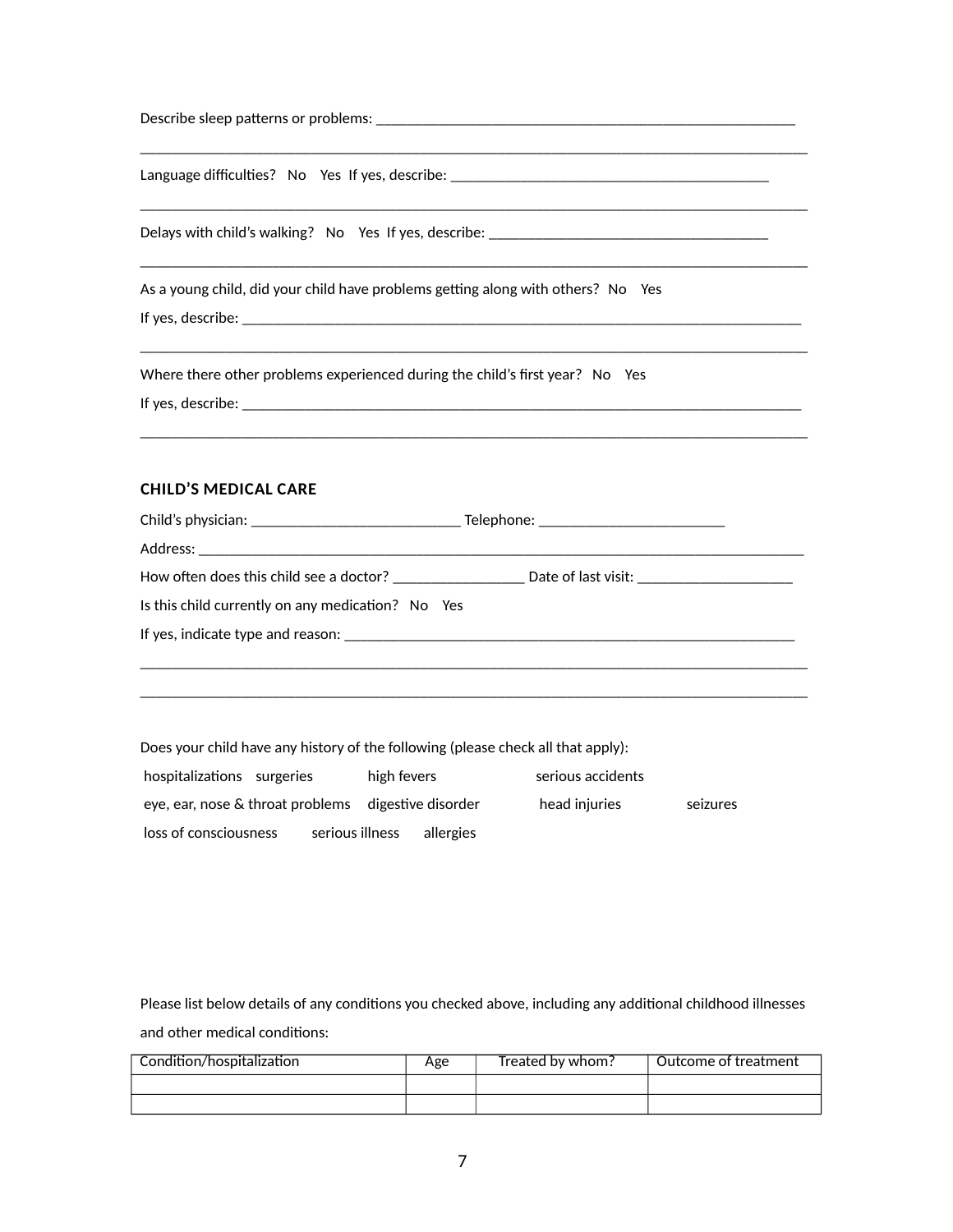| Language difficulties? Mo Yes If yes, describe: _________________________________   |
|-------------------------------------------------------------------------------------|
|                                                                                     |
| As a young child, did your child have problems getting along with others? [No   Yes |
| Where there other problems experienced during the child's first year? [No   Yes     |
| <b>CHILD'S MEDICAL CARE</b>                                                         |
| Is this child currently on any medication? Mo Yes                                   |
|                                                                                     |

Does your child have any history of the following (please check all that apply):

| Thospitalizations Surgeries                                          | Thigh fevers    |                   | serious accidents |                 |
|----------------------------------------------------------------------|-----------------|-------------------|-------------------|-----------------|
| $\sqrt{2}$ ear, nose & throat problems $\sqrt{2}$ digestive disorder |                 |                   | Thead injuries    | <b>Beizures</b> |
| Toss of consciousness                                                | serious illness | <b>Tallergies</b> |                   |                 |

Please list below details of any conditions you checked above, including any additional childhood illnesses and other medical conditions:

| Condition/hospitalization | Age | Treated by whom? | Outcome of treatment |
|---------------------------|-----|------------------|----------------------|
|                           |     |                  |                      |
|                           |     |                  |                      |